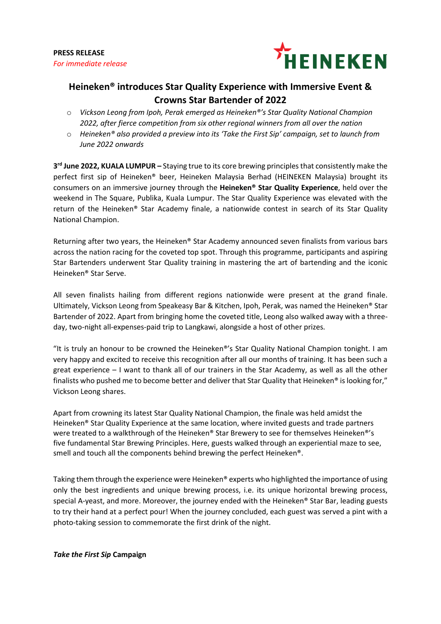

# **Heineken® introduces Star Quality Experience with Immersive Event & Crowns Star Bartender of 2022**

- o *Vickson Leong from Ipoh, Perak emerged as Heineken®'s Star Quality National Champion 2022, after fierce competition from six other regional winners from all over the nation*
- o *Heineken® also provided a preview into its 'Take the First Sip' campaign, set to launch from June 2022 onwards*

**3rd June 2022, KUALA LUMPUR –** Staying true to its core brewing principles that consistently make the perfect first sip of Heineken® beer, Heineken Malaysia Berhad (HEINEKEN Malaysia) brought its consumers on an immersive journey through the **Heineken® Star Quality Experience**, held over the weekend in The Square, Publika, Kuala Lumpur. The Star Quality Experience was elevated with the return of the Heineken® Star Academy finale, a nationwide contest in search of its Star Quality National Champion.

Returning after two years, the Heineken® Star Academy announced seven finalists from various bars across the nation racing for the coveted top spot. Through this programme, participants and aspiring Star Bartenders underwent Star Quality training in mastering the art of bartending and the iconic Heineken® Star Serve.

All seven finalists hailing from different regions nationwide were present at the grand finale. Ultimately, Vickson Leong from Speakeasy Bar & Kitchen, Ipoh, Perak, was named the Heineken® Star Bartender of 2022. Apart from bringing home the coveted title, Leong also walked away with a threeday, two-night all-expenses-paid trip to Langkawi, alongside a host of other prizes.

"It is truly an honour to be crowned the Heineken®'s Star Quality National Champion tonight. I am very happy and excited to receive this recognition after all our months of training. It has been such a great experience – I want to thank all of our trainers in the Star Academy, as well as all the other finalists who pushed me to become better and deliver that Star Quality that Heineken® is looking for," Vickson Leong shares.

Apart from crowning its latest Star Quality National Champion, the finale was held amidst the Heineken® Star Quality Experience at the same location, where invited guests and trade partners were treated to a walkthrough of the Heineken® Star Brewery to see for themselves Heineken®'s five fundamental Star Brewing Principles. Here, guests walked through an experiential maze to see, smell and touch all the components behind brewing the perfect Heineken®.

Taking them through the experience were Heineken® experts who highlighted the importance of using only the best ingredients and unique brewing process, i.e. its unique horizontal brewing process, special A-yeast, and more. Moreover, the journey ended with the Heineken<sup>®</sup> Star Bar, leading guests to try their hand at a perfect pour! When the journey concluded, each guest was served a pint with a photo-taking session to commemorate the first drink of the night.

### *Take the First Sip* **Campaign**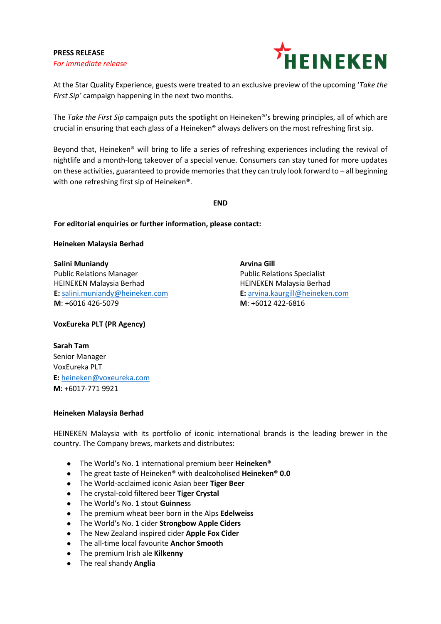## **PRESS RELEASE** *For immediate release*



At the Star Quality Experience, guests were treated to an exclusive preview of the upcoming '*Take the First Sip'* campaign happening in the next two months.

The *Take the First Sip* campaign puts the spotlight on Heineken®'s brewing principles, all of which are crucial in ensuring that each glass of a Heineken® always delivers on the most refreshing first sip.

Beyond that, Heineken® will bring to life a series of refreshing experiences including the revival of nightlife and a month-long takeover of a special venue. Consumers can stay tuned for more updates on these activities, guaranteed to provide memories that they can truly look forward to – all beginning with one refreshing first sip of Heineken®.

**END**

## **For editorial enquiries or further information, please contact:**

**Heineken Malaysia Berhad**

**Salini Muniandy Arvina Gill** Public Relations Manager **Public Relations Specialist** HEINEKEN Malaysia Berhad **HEINEKEN Malaysia Berhad E:** [salini.muniandy@heineken.com](about:blank) **E:** [arvina.kaurgill@heineken.com](mailto:arvina.kaurgill@heineken.com) **M**: +6016 426-5079 **M**: +6012 422-6816

**VoxEureka PLT (PR Agency)**

**Sarah Tam**  Senior Manager VoxEureka PLT **E:** [heineken@voxeureka.com](mailto:heineken@voxeureka.com) **M**: +6017-771 9921

### **Heineken Malaysia Berhad**

HEINEKEN Malaysia with its portfolio of iconic international brands is the leading brewer in the country. The Company brews, markets and distributes:

- The World's No. 1 international premium beer **Heineken®**
- The great taste of Heineken® with dealcoholised **Heineken® 0.0**
- The World-acclaimed iconic Asian beer **Tiger Beer**
- The crystal-cold filtered beer **Tiger Crystal**
- The World's No. 1 stout **Guinnes**s
- The premium wheat beer born in the Alps **Edelweiss**
- The World's No. 1 cider **Strongbow Apple Ciders**
- The New Zealand inspired cider **Apple Fox Cider**
- The all-time local favourite **Anchor Smooth**
- The premium Irish ale **Kilkenny**
- The real shandy **Anglia**